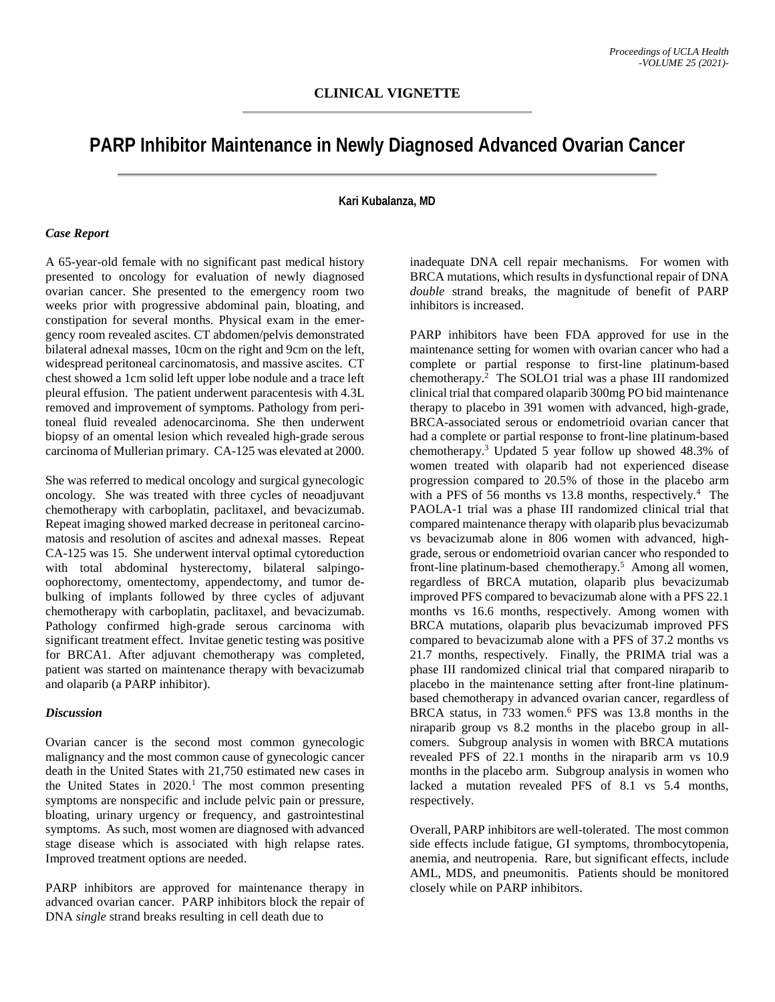## **PARP Inhibitor Maintenance in Newly Diagnosed Advanced Ovarian Cancer**

**Kari Kubalanza, MD**

## *Case Report*

A 65-year-old female with no significant past medical history presented to oncology for evaluation of newly diagnosed ovarian cancer. She presented to the emergency room two weeks prior with progressive abdominal pain, bloating, and constipation for several months. Physical exam in the emergency room revealed ascites. CT abdomen/pelvis demonstrated bilateral adnexal masses, 10cm on the right and 9cm on the left, widespread peritoneal carcinomatosis, and massive ascites. CT chest showed a 1cm solid left upper lobe nodule and a trace left pleural effusion. The patient underwent paracentesis with 4.3L removed and improvement of symptoms. Pathology from peritoneal fluid revealed adenocarcinoma. She then underwent biopsy of an omental lesion which revealed high-grade serous carcinoma of Mullerian primary. CA-125 was elevated at 2000.

She was referred to medical oncology and surgical gynecologic oncology. She was treated with three cycles of neoadjuvant chemotherapy with carboplatin, paclitaxel, and bevacizumab. Repeat imaging showed marked decrease in peritoneal carcinomatosis and resolution of ascites and adnexal masses. Repeat CA-125 was 15. She underwent interval optimal cytoreduction with total abdominal hysterectomy, bilateral salpingooophorectomy, omentectomy, appendectomy, and tumor debulking of implants followed by three cycles of adjuvant chemotherapy with carboplatin, paclitaxel, and bevacizumab. Pathology confirmed high-grade serous carcinoma with significant treatment effect. Invitae genetic testing was positive for BRCA1. After adjuvant chemotherapy was completed, patient was started on maintenance therapy with bevacizumab and olaparib (a PARP inhibitor).

## *Discussion*

Ovarian cancer is the second most common gynecologic malignancy and the most common cause of gynecologic cancer death in the United States with 21,750 estimated new cases in the United States in  $2020<sup>1</sup>$ . The most common presenting symptoms are nonspecific and include pelvic pain or pressure, bloating, urinary urgency or frequency, and gastrointestinal symptoms. As such, most women are diagnosed with advanced stage disease which is associated with high relapse rates. Improved treatment options are needed.

PARP inhibitors are approved for maintenance therapy in advanced ovarian cancer. PARP inhibitors block the repair of DNA *single* strand breaks resulting in cell death due to

inadequate DNA cell repair mechanisms. For women with BRCA mutations, which results in dysfunctional repair of DNA *double* strand breaks, the magnitude of benefit of PARP inhibitors is increased.

PARP inhibitors have been FDA approved for use in the maintenance setting for women with ovarian cancer who had a complete or partial response to first-line platinum-based chemotherapy. 2 The SOLO1 trial was a phase III randomized clinical trial that compared olaparib 300mg PO bid maintenance therapy to placebo in 391 women with advanced, high-grade, BRCA-associated serous or endometrioid ovarian cancer that had a complete or partial response to front-line platinum-based chemotherapy.3 Updated 5 year follow up showed 48.3% of women treated with olaparib had not experienced disease progression compared to 20.5% of those in the placebo arm with a PFS of 56 months vs 13.8 months, respectively.<sup>4</sup> The PAOLA-1 trial was a phase III randomized clinical trial that compared maintenance therapy with olaparib plus bevacizumab vs bevacizumab alone in 806 women with advanced, highgrade, serous or endometrioid ovarian cancer who responded to front-line platinum-based chemotherapy. 5 Among all women, regardless of BRCA mutation, olaparib plus bevacizumab improved PFS compared to bevacizumab alone with a PFS 22.1 months vs 16.6 months, respectively. Among women with BRCA mutations, olaparib plus bevacizumab improved PFS compared to bevacizumab alone with a PFS of 37.2 months vs 21.7 months, respectively. Finally, the PRIMA trial was a phase III randomized clinical trial that compared niraparib to placebo in the maintenance setting after front-line platinumbased chemotherapy in advanced ovarian cancer, regardless of BRCA status, in 733 women. <sup>6</sup> PFS was 13.8 months in the niraparib group vs 8.2 months in the placebo group in allcomers. Subgroup analysis in women with BRCA mutations revealed PFS of 22.1 months in the niraparib arm vs 10.9 months in the placebo arm. Subgroup analysis in women who lacked a mutation revealed PFS of 8.1 vs 5.4 months, respectively.

Overall, PARP inhibitors are well-tolerated. The most common side effects include fatigue, GI symptoms, thrombocytopenia, anemia, and neutropenia. Rare, but significant effects, include AML, MDS, and pneumonitis. Patients should be monitored closely while on PARP inhibitors.